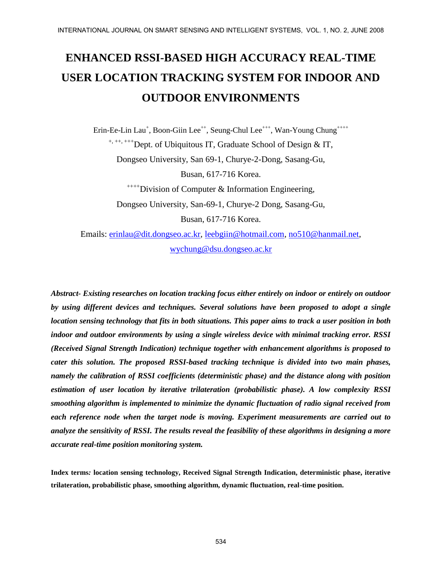# **ENHANCED RSSI-BASED HIGH ACCURACY REAL-TIME USER LOCATION TRACKING SYSTEM FOR INDOOR AND OUTDOOR ENVIRONMENTS**

Erin-Ee-Lin Lau<sup>+</sup>, Boon-Giin Lee<sup>++</sup>, Seung-Chul Lee<sup>+++</sup>, Wan-Young Chung<sup>++++</sup> <sup>+, ++, +++</sup>Dept. of Ubiquitous IT, Graduate School of Design & IT, Dongseo University, San 69-1, Churye-2-Dong, Sasang-Gu, Busan, 617-716 Korea.  $^{+++}$ Division of Computer & Information Engineering,

Dongseo University, San-69-1, Churye-2 Dong, Sasang-Gu, Busan, 617-716 Korea.

Emails: [erinlau@dit.dongseo.ac.kr,](mailto:erinlau@dit.dongseo.ac.kr) [leebgiin@hotmail.com,](mailto:leebgiin@hotmail.com) [no510@hanmail.net,](mailto:no510@hanmail.net) [wychung@dsu.dongseo.ac.kr](mailto:wychung@dsu.dongseo.ac.kr)

*Abstract- Existing researches on location tracking focus either entirely on indoor or entirely on outdoor by using different devices and techniques. Several solutions have been proposed to adopt a single location sensing technology that fits in both situations. This paper aims to track a user position in both indoor and outdoor environments by using a single wireless device with minimal tracking error. RSSI (Received Signal Strength Indication) technique together with enhancement algorithms is proposed to cater this solution. The proposed RSSI-based tracking technique is divided into two main phases, namely the calibration of RSSI coefficients (deterministic phase) and the distance along with position estimation of user location by iterative trilateration (probabilistic phase). A low complexity RSSI smoothing algorithm is implemented to minimize the dynamic fluctuation of radio signal received from each reference node when the target node is moving. Experiment measurements are carried out to analyze the sensitivity of RSSI. The results reveal the feasibility of these algorithms in designing a more accurate real-time position monitoring system.*

**Index terms***:* **location sensing technology, Received Signal Strength Indication, deterministic phase, iterative trilateration, probabilistic phase, smoothing algorithm, dynamic fluctuation, real-time position.**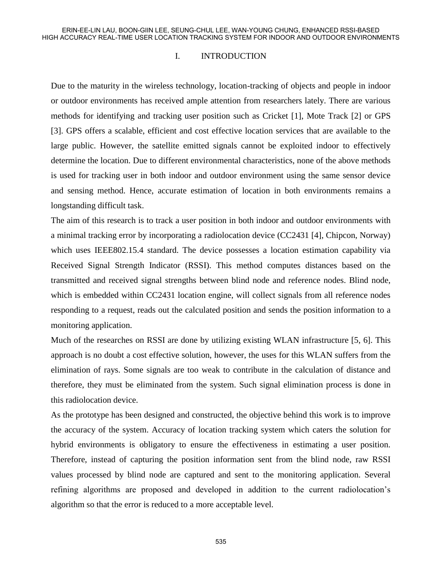#### I. INTRODUCTION

Due to the maturity in the wireless technology, location-tracking of objects and people in indoor or outdoor environments has received ample attention from researchers lately. There are various methods for identifying and tracking user position such as Cricket [1], Mote Track [2] or GPS [3]. GPS offers a scalable, efficient and cost effective location services that are available to the large public. However, the satellite emitted signals cannot be exploited indoor to effectively determine the location. Due to different environmental characteristics, none of the above methods is used for tracking user in both indoor and outdoor environment using the same sensor device and sensing method. Hence, accurate estimation of location in both environments remains a longstanding difficult task.

The aim of this research is to track a user position in both indoor and outdoor environments with a minimal tracking error by incorporating a radiolocation device (CC2431 [4], Chipcon, Norway) which uses IEEE802.15.4 standard. The device possesses a location estimation capability via Received Signal Strength Indicator (RSSI). This method computes distances based on the transmitted and received signal strengths between blind node and reference nodes. Blind node, which is embedded within CC2431 location engine, will collect signals from all reference nodes responding to a request, reads out the calculated position and sends the position information to a monitoring application.

Much of the researches on RSSI are done by utilizing existing WLAN infrastructure [5, 6]. This approach is no doubt a cost effective solution, however, the uses for this WLAN suffers from the elimination of rays. Some signals are too weak to contribute in the calculation of distance and therefore, they must be eliminated from the system. Such signal elimination process is done in this radiolocation device.

As the prototype has been designed and constructed, the objective behind this work is to improve the accuracy of the system. Accuracy of location tracking system which caters the solution for hybrid environments is obligatory to ensure the effectiveness in estimating a user position. Therefore, instead of capturing the position information sent from the blind node, raw RSSI values processed by blind node are captured and sent to the monitoring application. Several refining algorithms are proposed and developed in addition to the current radiolocation's algorithm so that the error is reduced to a more acceptable level.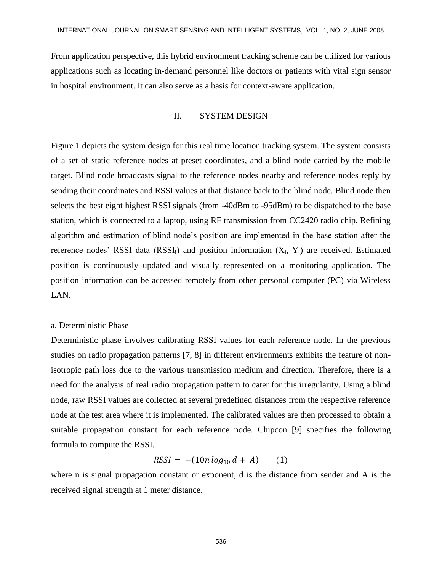From application perspective, this hybrid environment tracking scheme can be utilized for various applications such as locating in-demand personnel like doctors or patients with vital sign sensor in hospital environment. It can also serve as a basis for context-aware application.

#### II. SYSTEM DESIGN

Figure 1 depicts the system design for this real time location tracking system. The system consists of a set of static reference nodes at preset coordinates, and a blind node carried by the mobile target. Blind node broadcasts signal to the reference nodes nearby and reference nodes reply by sending their coordinates and RSSI values at that distance back to the blind node. Blind node then selects the best eight highest RSSI signals (from -40dBm to -95dBm) to be dispatched to the base station, which is connected to a laptop, using RF transmission from CC2420 radio chip. Refining algorithm and estimation of blind node's position are implemented in the base station after the reference nodes' RSSI data  $(RSSI_i)$  and position information  $(X_i, Y_i)$  are received. Estimated position is continuously updated and visually represented on a monitoring application. The position information can be accessed remotely from other personal computer (PC) via Wireless LAN.

#### a. Deterministic Phase

Deterministic phase involves calibrating RSSI values for each reference node. In the previous studies on radio propagation patterns [7, 8] in different environments exhibits the feature of nonisotropic path loss due to the various transmission medium and direction. Therefore, there is a need for the analysis of real radio propagation pattern to cater for this irregularity. Using a blind node, raw RSSI values are collected at several predefined distances from the respective reference node at the test area where it is implemented. The calibrated values are then processed to obtain a suitable propagation constant for each reference node. Chipcon [9] specifies the following formula to compute the RSSI.

$$
RSSI = -(10n \log_{10} d + A) \qquad (1)
$$

where n is signal propagation constant or exponent, d is the distance from sender and A is the received signal strength at 1 meter distance.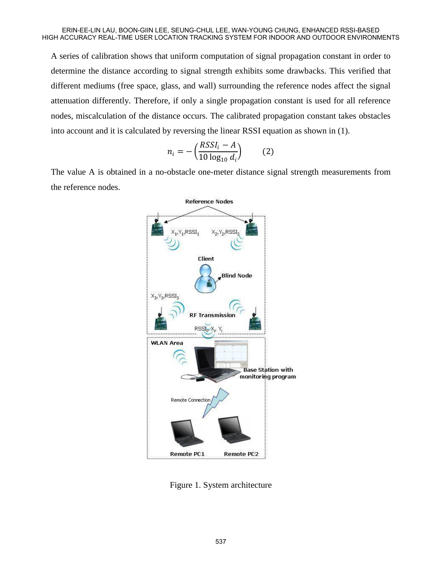A series of calibration shows that uniform computation of signal propagation constant in order to determine the distance according to signal strength exhibits some drawbacks. This verified that different mediums (free space, glass, and wall) surrounding the reference nodes affect the signal attenuation differently. Therefore, if only a single propagation constant is used for all reference nodes, miscalculation of the distance occurs. The calibrated propagation constant takes obstacles into account and it is calculated by reversing the linear RSSI equation as shown in (1).

$$
n_i = -\left(\frac{RSSI_i - A}{10 \log_{10} d_i}\right) \tag{2}
$$

The value A is obtained in a no-obstacle one-meter distance signal strength measurements from the reference nodes.



Figure 1. System architecture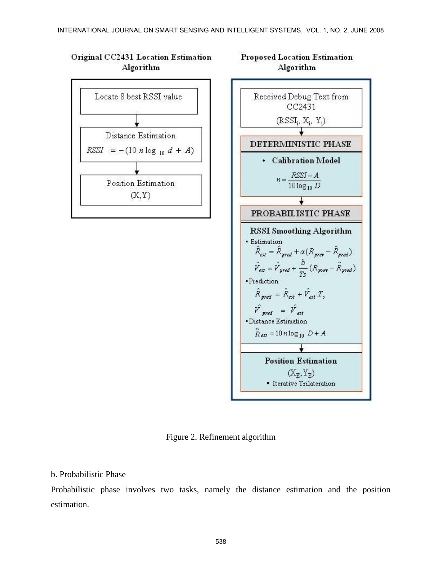# Original CC2431 Location Estimation Algorithm





**Proposed Location Estimation** 

Figure 2. Refinement algorithm

# b. Probabilistic Phase

Probabilistic phase involves two tasks, namely the distance estimation and the position estimation.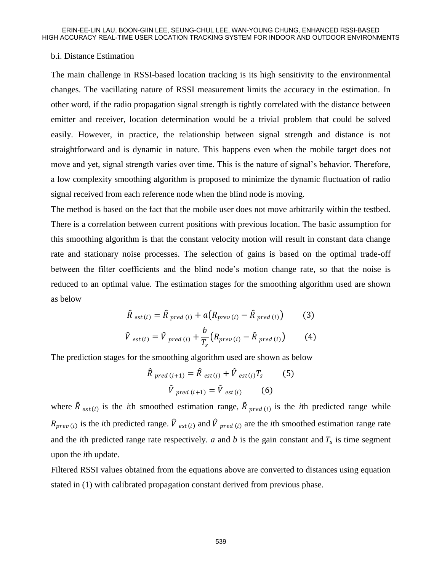### b.i. Distance Estimation

The main challenge in RSSI-based location tracking is its high sensitivity to the environmental changes. The vacillating nature of RSSI measurement limits the accuracy in the estimation. In other word, if the radio propagation signal strength is tightly correlated with the distance between emitter and receiver, location determination would be a trivial problem that could be solved easily. However, in practice, the relationship between signal strength and distance is not straightforward and is dynamic in nature. This happens even when the mobile target does not move and yet, signal strength varies over time. This is the nature of signal's behavior. Therefore, a low complexity smoothing algorithm is proposed to minimize the dynamic fluctuation of radio signal received from each reference node when the blind node is moving.

The method is based on the fact that the mobile user does not move arbitrarily within the testbed. There is a correlation between current positions with previous location. The basic assumption for this smoothing algorithm is that the constant velocity motion will result in constant data change rate and stationary noise processes. The selection of gains is based on the optimal trade-off between the filter coefficients and the blind node's motion change rate, so that the noise is reduced to an optimal value. The estimation stages for the smoothing algorithm used are shown as below

$$
\hat{R}_{est(i)} = \hat{R}_{pred(i)} + a(R_{prev(i)} - \hat{R}_{pred(i)})
$$
(3)

$$
\hat{V}_{est(i)} = \hat{V}_{pred(i)} + \frac{\nu}{T_s} \left( R_{prev(i)} - \hat{R}_{pred(i)} \right)
$$
(4)

The prediction stages for the smoothing algorithm used are shown as below

$$
\hat{R}_{pred (i+1)} = \hat{R}_{est (i)} + \hat{V}_{est (i)} T_s
$$
 (5)  

$$
\hat{V}_{pred (i+1)} = \hat{V}_{est (i)}
$$
 (6)

where  $\hat{R}_{est(i)}$  is the *i*th smoothed estimation range,  $\hat{R}_{pred(i)}$  is the *i*th predicted range while  $R_{prev(i)}$  is the *i*th predicted range.  $\hat{V}_{est(i)}$  and  $\hat{V}_{pred(i)}$  are the *i*th smoothed estimation range rate and the *i*th predicted range rate respectively.  $a$  and  $b$  is the gain constant and  $T_s$  is time segment upon the *i*th update.

Filtered RSSI values obtained from the equations above are converted to distances using equation stated in (1) with calibrated propagation constant derived from previous phase.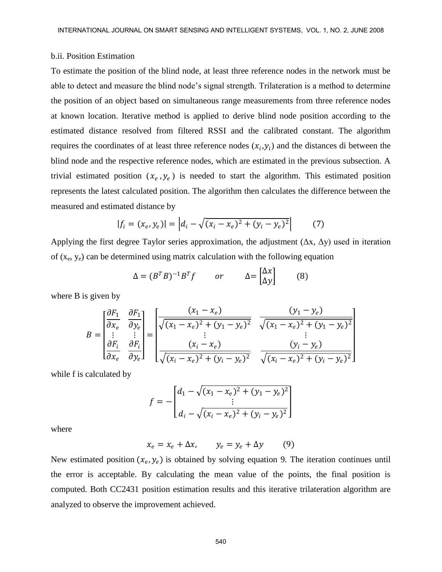#### b.ii. Position Estimation

To estimate the position of the blind node, at least three reference nodes in the network must be able to detect and measure the blind node's signal strength. Trilateration is a method to determine the position of an object based on simultaneous range measurements from three reference nodes at known location. Iterative method is applied to derive blind node position according to the estimated distance resolved from filtered RSSI and the calibrated constant. The algorithm requires the coordinates of at least three reference nodes  $(x_i, y_i)$  and the distances di between the blind node and the respective reference nodes, which are estimated in the previous subsection. A trivial estimated position  $(x_e, y_e)$  is needed to start the algorithm. This estimated position represents the latest calculated position. The algorithm then calculates the difference between the measured and estimated distance by

$$
|f_i = (x_e, y_e)| = |d_i - \sqrt{(x_i - x_e)^2 + (y_i - y_e)^2}| \tag{7}
$$

Applying the first degree Taylor series approximation, the adjustment  $(\Delta x, \Delta y)$  used in iteration of  $(x_e, y_e)$  can be determined using matrix calculation with the following equation

$$
\Delta = (B^T B)^{-1} B^T f \qquad or \qquad \Delta = \begin{bmatrix} \Delta x \\ \Delta y \end{bmatrix} \qquad (8)
$$

where B is given by

$$
B = \begin{bmatrix} \frac{\partial F_1}{\partial x_e} & \frac{\partial F_1}{\partial y_e} \\ \vdots & \vdots \\ \frac{\partial F_i}{\partial x_e} & \frac{\partial F_i}{\partial y_e} \end{bmatrix} = \begin{bmatrix} \frac{(x_1 - x_e)}{\sqrt{(x_1 - x_e)^2 + (y_1 - y_e)^2}} & \frac{(y_1 - y_e)}{\sqrt{(x_1 - x_e)^2 + (y_1 - y_e)^2}} \\ \vdots & \vdots \\ \frac{(x_i - x_e)}{\sqrt{(x_i - x_e)^2 + (y_i - y_e)^2}} & \frac{(y_i - y_e)}{\sqrt{(x_i - x_e)^2 + (y_i - y_e)^2}} \end{bmatrix}
$$

while f is calculated by

$$
f = -\begin{bmatrix} d_1 - \sqrt{(x_1 - x_e)^2 + (y_1 - y_e)^2} \\ \vdots \\ d_i - \sqrt{(x_i - x_e)^2 + (y_i - y_e)^2} \end{bmatrix}
$$

where

$$
x_e = x_e + \Delta x, \qquad y_e = y_e + \Delta y \tag{9}
$$

New estimated position  $(x_e, y_e)$  is obtained by solving equation 9. The iteration continues until the error is acceptable. By calculating the mean value of the points, the final position is computed. Both CC2431 position estimation results and this iterative trilateration algorithm are analyzed to observe the improvement achieved.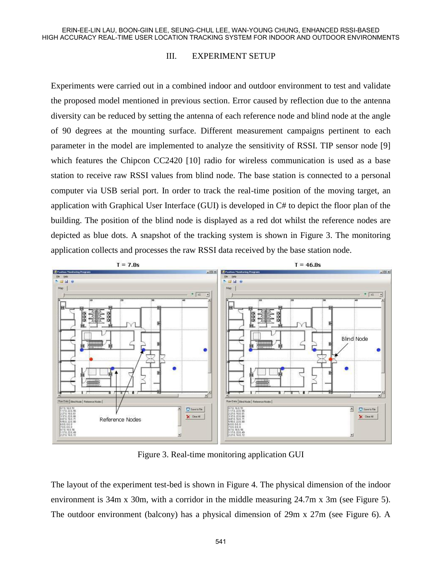#### III. EXPERIMENT SETUP

Experiments were carried out in a combined indoor and outdoor environment to test and validate the proposed model mentioned in previous section. Error caused by reflection due to the antenna diversity can be reduced by setting the antenna of each reference node and blind node at the angle of 90 degrees at the mounting surface. Different measurement campaigns pertinent to each parameter in the model are implemented to analyze the sensitivity of RSSI. TIP sensor node [9] which features the Chipcon CC2420 [10] radio for wireless communication is used as a base station to receive raw RSSI values from blind node. The base station is connected to a personal computer via USB serial port. In order to track the real-time position of the moving target, an application with Graphical User Interface (GUI) is developed in C# to depict the floor plan of the building. The position of the blind node is displayed as a red dot whilst the reference nodes are depicted as blue dots. A snapshot of the tracking system is shown in Figure 3. The monitoring application collects and processes the raw RSSI data received by the base station node.



Figure 3. Real-time monitoring application GUI

The layout of the experiment test-bed is shown in Figure 4. The physical dimension of the indoor environment is 34m x 30m, with a corridor in the middle measuring 24.7m x 3m (see Figure 5). The outdoor environment (balcony) has a physical dimension of 29m x 27m (see Figure 6). A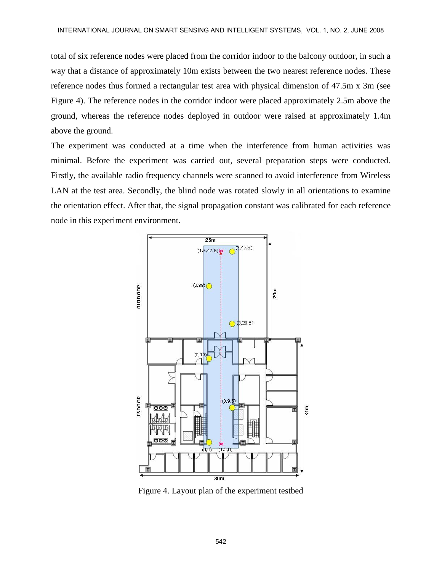total of six reference nodes were placed from the corridor indoor to the balcony outdoor, in such a way that a distance of approximately 10m exists between the two nearest reference nodes. These reference nodes thus formed a rectangular test area with physical dimension of 47.5m x 3m (see Figure 4). The reference nodes in the corridor indoor were placed approximately 2.5m above the ground, whereas the reference nodes deployed in outdoor were raised at approximately 1.4m above the ground.

The experiment was conducted at a time when the interference from human activities was minimal. Before the experiment was carried out, several preparation steps were conducted. Firstly, the available radio frequency channels were scanned to avoid interference from Wireless LAN at the test area. Secondly, the blind node was rotated slowly in all orientations to examine the orientation effect. After that, the signal propagation constant was calibrated for each reference node in this experiment environment.



Figure 4. Layout plan of the experiment testbed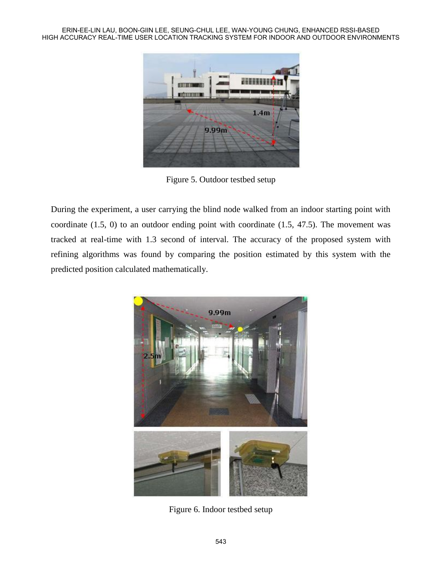ERIN-EE-LIN LAU, BOON-GIIN LEE, SEUNG-CHUL LEE, WAN-YOUNG CHUNG, ENHANCED RSSI-BASED HIGH ACCURACY REAL-TIME USER LOCATION TRACKING SYSTEM FOR INDOOR AND OUTDOOR ENVIRONMENTS



Figure 5. Outdoor testbed setup

During the experiment, a user carrying the blind node walked from an indoor starting point with coordinate (1.5, 0) to an outdoor ending point with coordinate (1.5, 47.5). The movement was tracked at real-time with 1.3 second of interval. The accuracy of the proposed system with refining algorithms was found by comparing the position estimated by this system with the predicted position calculated mathematically.



Figure 6. Indoor testbed setup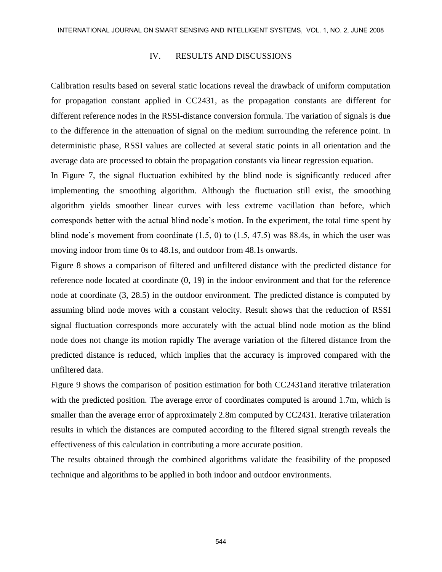## IV. RESULTS AND DISCUSSIONS

Calibration results based on several static locations reveal the drawback of uniform computation for propagation constant applied in CC2431, as the propagation constants are different for different reference nodes in the RSSI-distance conversion formula. The variation of signals is due to the difference in the attenuation of signal on the medium surrounding the reference point. In deterministic phase, RSSI values are collected at several static points in all orientation and the average data are processed to obtain the propagation constants via linear regression equation.

In Figure 7, the signal fluctuation exhibited by the blind node is significantly reduced after implementing the smoothing algorithm. Although the fluctuation still exist, the smoothing algorithm yields smoother linear curves with less extreme vacillation than before, which corresponds better with the actual blind node's motion. In the experiment, the total time spent by blind node's movement from coordinate  $(1.5, 0)$  to  $(1.5, 47.5)$  was 88.4s, in which the user was moving indoor from time 0s to 48.1s, and outdoor from 48.1s onwards.

Figure 8 shows a comparison of filtered and unfiltered distance with the predicted distance for reference node located at coordinate (0, 19) in the indoor environment and that for the reference node at coordinate (3, 28.5) in the outdoor environment. The predicted distance is computed by assuming blind node moves with a constant velocity. Result shows that the reduction of RSSI signal fluctuation corresponds more accurately with the actual blind node motion as the blind node does not change its motion rapidly The average variation of the filtered distance from the predicted distance is reduced, which implies that the accuracy is improved compared with the unfiltered data.

Figure 9 shows the comparison of position estimation for both CC2431and iterative trilateration with the predicted position. The average error of coordinates computed is around 1.7m, which is smaller than the average error of approximately 2.8m computed by CC2431. Iterative trilateration results in which the distances are computed according to the filtered signal strength reveals the effectiveness of this calculation in contributing a more accurate position.

The results obtained through the combined algorithms validate the feasibility of the proposed technique and algorithms to be applied in both indoor and outdoor environments.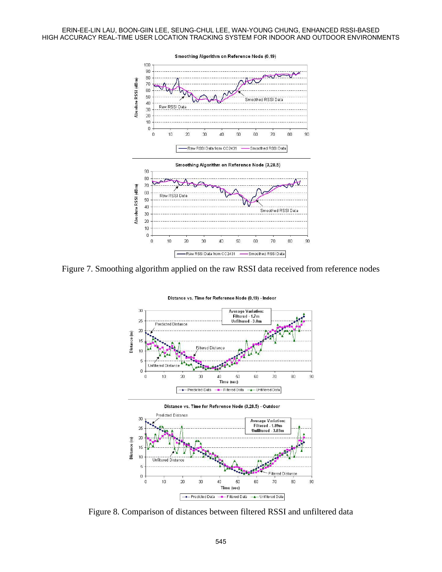ERIN-EE-LIN LAU, BOON-GIIN LEE, SEUNG-CHUL LEE, WAN-YOUNG CHUNG, ENHANCED RSSI-BASED HIGH ACCURACY REAL-TIME USER LOCATION TRACKING SYSTEM FOR INDOOR AND OUTDOOR ENVIRONMENTS



Figure 7. Smoothing algorithm applied on the raw RSSI data received from reference nodes



Figure 8. Comparison of distances between filtered RSSI and unfiltered data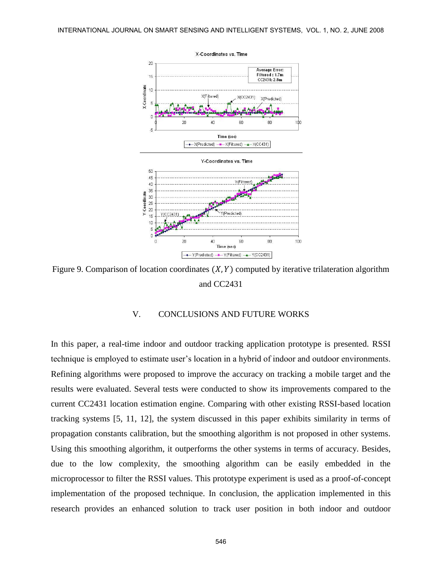

Figure 9. Comparison of location coordinates  $(X, Y)$  computed by iterative trilateration algorithm and CC2431

## V. CONCLUSIONS AND FUTURE WORKS

In this paper, a real-time indoor and outdoor tracking application prototype is presented. RSSI technique is employed to estimate user's location in a hybrid of indoor and outdoor environments. Refining algorithms were proposed to improve the accuracy on tracking a mobile target and the results were evaluated. Several tests were conducted to show its improvements compared to the current CC2431 location estimation engine. Comparing with other existing RSSI-based location tracking systems [5, 11, 12], the system discussed in this paper exhibits similarity in terms of propagation constants calibration, but the smoothing algorithm is not proposed in other systems. Using this smoothing algorithm, it outperforms the other systems in terms of accuracy. Besides, due to the low complexity, the smoothing algorithm can be easily embedded in the microprocessor to filter the RSSI values. This prototype experiment is used as a proof-of-concept implementation of the proposed technique. In conclusion, the application implemented in this research provides an enhanced solution to track user position in both indoor and outdoor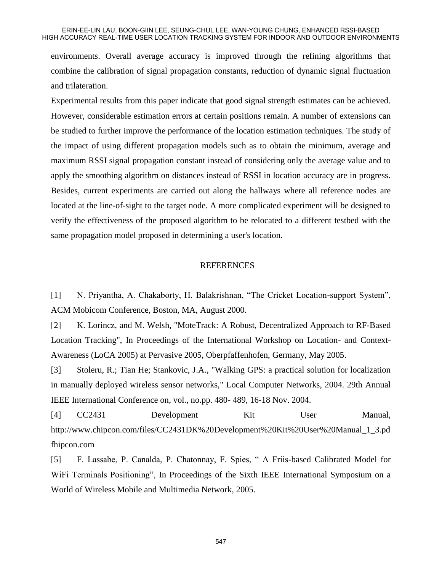#### ERIN-EE-LIN LAU, BOON-GIIN LEE, SEUNG-CHUL LEE, WAN-YOUNG CHUNG, ENHANCED RSSI-BASED HIGH ACCURACY REAL-TIME USER LOCATION TRACKING SYSTEM FOR INDOOR AND OUTDOOR ENVIRONMENTS

environments. Overall average accuracy is improved through the refining algorithms that combine the calibration of signal propagation constants, reduction of dynamic signal fluctuation and trilateration.

Experimental results from this paper indicate that good signal strength estimates can be achieved. However, considerable estimation errors at certain positions remain. A number of extensions can be studied to further improve the performance of the location estimation techniques. The study of the impact of using different propagation models such as to obtain the minimum, average and maximum RSSI signal propagation constant instead of considering only the average value and to apply the smoothing algorithm on distances instead of RSSI in location accuracy are in progress. Besides, current experiments are carried out along the hallways where all reference nodes are located at the line-of-sight to the target node. A more complicated experiment will be designed to verify the effectiveness of the proposed algorithm to be relocated to a different testbed with the same propagation model proposed in determining a user's location.

#### REFERENCES

[1] N. Priyantha, A. Chakaborty, H. Balakrishnan, "The Cricket Location-support System", ACM Mobicom Conference, Boston, MA, August 2000.

[2] K. Lorincz, and M. Welsh, "MoteTrack: A Robust, Decentralized Approach to RF-Based Location Tracking", In Proceedings of the International Workshop on Location- and Context-Awareness (LoCA 2005) at Pervasive 2005, Oberpfaffenhofen, Germany, May 2005.

[3] Stoleru, R.; Tian He; Stankovic, J.A., "Walking GPS: a practical solution for localization in manually deployed wireless sensor networks," Local Computer Networks, 2004. 29th Annual IEEE International Conference on, vol., no.pp. 480- 489, 16-18 Nov. 2004.

[4] CC2431 Development Kit User Manual, http://www.chipcon.com/files/CC2431DK%20Development%20Kit%20User%20Manual\_1\_3.pd fhipcon.com

[5] F. Lassabe, P. Canalda, P. Chatonnay, F. Spies, " A Friis-based Calibrated Model for WiFi Terminals Positioning", In Proceedings of the Sixth IEEE International Symposium on a World of Wireless Mobile and Multimedia Network, 2005.